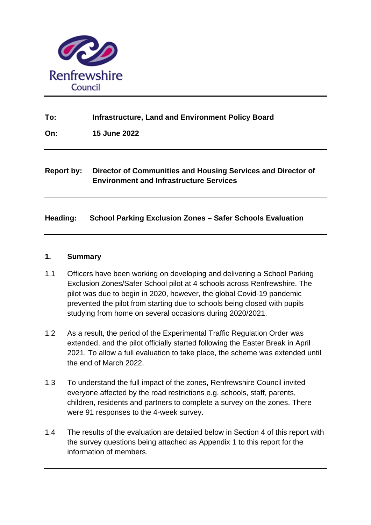

## **To: Infrastructure, Land and Environment Policy Board**

**On: 15 June 2022**

# **Report by: Director of Communities and Housing Services and Director of Environment and Infrastructure Services**

## **Heading: School Parking Exclusion Zones – Safer Schools Evaluation**

#### **1. Summary**

- 1.1 Officers have been working on developing and delivering a School Parking Exclusion Zones/Safer School pilot at 4 schools across Renfrewshire. The pilot was due to begin in 2020, however, the global Covid-19 pandemic prevented the pilot from starting due to schools being closed with pupils studying from home on several occasions during 2020/2021.
- 1.2 As a result, the period of the Experimental Traffic Regulation Order was extended, and the pilot officially started following the Easter Break in April 2021. To allow a full evaluation to take place, the scheme was extended until the end of March 2022.
- 1.3 To understand the full impact of the zones, Renfrewshire Council invited everyone affected by the road restrictions e.g. schools, staff, parents, children, residents and partners to complete a survey on the zones. There were 91 responses to the 4-week survey.
- 1.4 The results of the evaluation are detailed below in Section 4 of this report with the survey questions being attached as Appendix 1 to this report for the information of members.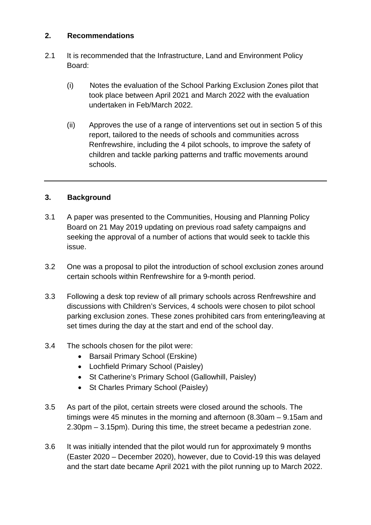#### **2. Recommendations**

- 2.1 It is recommended that the Infrastructure, Land and Environment Policy Board:
	- (i) Notes the evaluation of the School Parking Exclusion Zones pilot that took place between April 2021 and March 2022 with the evaluation undertaken in Feb/March 2022.
	- (ii) Approves the use of a range of interventions set out in section 5 of this report, tailored to the needs of schools and communities across Renfrewshire, including the 4 pilot schools, to improve the safety of children and tackle parking patterns and traffic movements around schools.

### **3. Background**

- 3.1 A paper was presented to the Communities, Housing and Planning Policy Board on 21 May 2019 updating on previous road safety campaigns and seeking the approval of a number of actions that would seek to tackle this issue.
- 3.2 One was a proposal to pilot the introduction of school exclusion zones around certain schools within Renfrewshire for a 9-month period.
- 3.3 Following a desk top review of all primary schools across Renfrewshire and discussions with Children's Services, 4 schools were chosen to pilot school parking exclusion zones. These zones prohibited cars from entering/leaving at set times during the day at the start and end of the school day.
- 3.4 The schools chosen for the pilot were:
	- Barsail Primary School (Erskine)
	- Lochfield Primary School (Paisley)
	- St Catherine's Primary School (Gallowhill, Paisley)
	- St Charles Primary School (Paisley)
- 3.5 As part of the pilot, certain streets were closed around the schools. The timings were 45 minutes in the morning and afternoon (8.30am – 9.15am and 2.30pm – 3.15pm). During this time, the street became a pedestrian zone.
- 3.6 It was initially intended that the pilot would run for approximately 9 months (Easter 2020 – December 2020), however, due to Covid-19 this was delayed and the start date became April 2021 with the pilot running up to March 2022.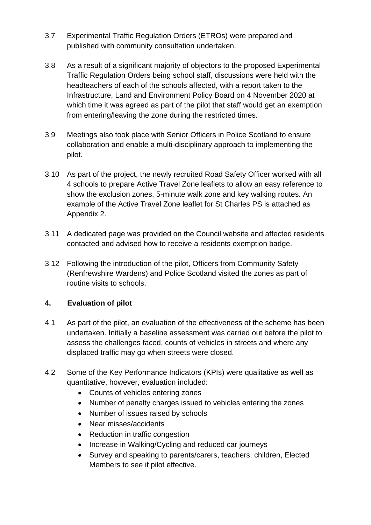- 3.7 Experimental Traffic Regulation Orders (ETROs) were prepared and published with community consultation undertaken.
- 3.8 As a result of a significant majority of objectors to the proposed Experimental Traffic Regulation Orders being school staff, discussions were held with the headteachers of each of the schools affected, with a report taken to the Infrastructure, Land and Environment Policy Board on 4 November 2020 at which time it was agreed as part of the pilot that staff would get an exemption from entering/leaving the zone during the restricted times.
- 3.9 Meetings also took place with Senior Officers in Police Scotland to ensure collaboration and enable a multi-disciplinary approach to implementing the pilot.
- 3.10 As part of the project, the newly recruited Road Safety Officer worked with all 4 schools to prepare Active Travel Zone leaflets to allow an easy reference to show the exclusion zones, 5-minute walk zone and key walking routes. An example of the Active Travel Zone leaflet for St Charles PS is attached as Appendix 2.
- 3.11 A dedicated page was provided on the Council website and affected residents contacted and advised how to receive a residents exemption badge.
- 3.12 Following the introduction of the pilot, Officers from Community Safety (Renfrewshire Wardens) and Police Scotland visited the zones as part of routine visits to schools.

### **4. Evaluation of pilot**

- 4.1 As part of the pilot, an evaluation of the effectiveness of the scheme has been undertaken. Initially a baseline assessment was carried out before the pilot to assess the challenges faced, counts of vehicles in streets and where any displaced traffic may go when streets were closed.
- 4.2 Some of the Key Performance Indicators (KPIs) were qualitative as well as quantitative, however, evaluation included:
	- Counts of vehicles entering zones
	- Number of penalty charges issued to vehicles entering the zones
	- Number of issues raised by schools
	- Near misses/accidents
	- Reduction in traffic congestion
	- Increase in Walking/Cycling and reduced car journeys
	- Survey and speaking to parents/carers, teachers, children, Elected Members to see if pilot effective.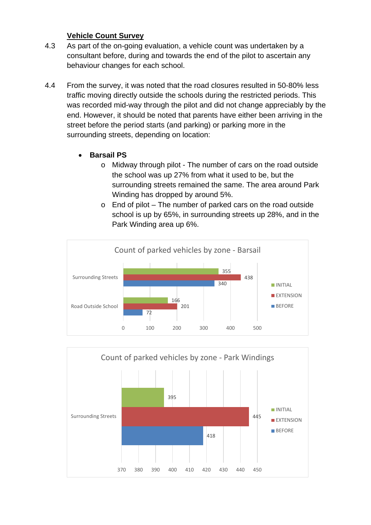### **Vehicle Count Survey**

- 4.3 As part of the on-going evaluation, a vehicle count was undertaken by a consultant before, during and towards the end of the pilot to ascertain any behaviour changes for each school.
- 4.4 From the survey, it was noted that the road closures resulted in 50-80% less traffic moving directly outside the schools during the restricted periods. This was recorded mid-way through the pilot and did not change appreciably by the end. However, it should be noted that parents have either been arriving in the street before the period starts (and parking) or parking more in the surrounding streets, depending on location:
	- **Barsail PS**
		- o Midway through pilot The number of cars on the road outside the school was up 27% from what it used to be, but the surrounding streets remained the same. The area around Park Winding has dropped by around 5%.
		- o End of pilot The number of parked cars on the road outside school is up by 65%, in surrounding streets up 28%, and in the Park Winding area up 6%.



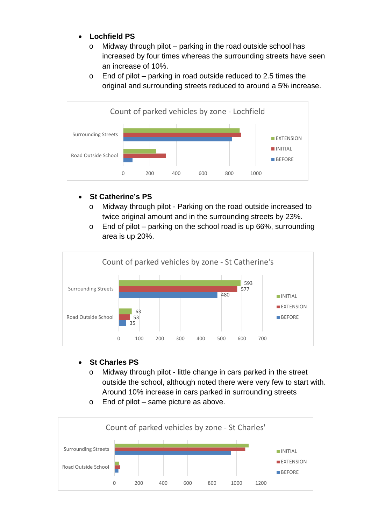# • **Lochfield PS**

- o Midway through pilot parking in the road outside school has increased by four times whereas the surrounding streets have seen an increase of 10%.
- $\circ$  End of pilot parking in road outside reduced to 2.5 times the original and surrounding streets reduced to around a 5% increase.



### • **St Catherine's PS**

- o Midway through pilot Parking on the road outside increased to twice original amount and in the surrounding streets by 23%.
- $\circ$  End of pilot parking on the school road is up 66%, surrounding area is up 20%.



### • **St Charles PS**

- o Midway through pilot little change in cars parked in the street outside the school, although noted there were very few to start with. Around 10% increase in cars parked in surrounding streets
- o End of pilot same picture as above.

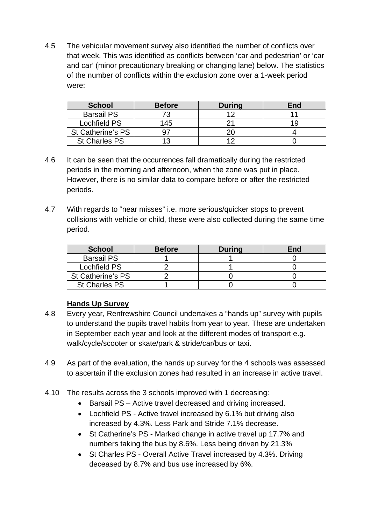4.5 The vehicular movement survey also identified the number of conflicts over that week. This was identified as conflicts between 'car and pedestrian' or 'car and car' (minor precautionary breaking or changing lane) below. The statistics of the number of conflicts within the exclusion zone over a 1-week period were:

| <b>School</b>        | <b>Before</b> | <b>During</b> | End |
|----------------------|---------------|---------------|-----|
| <b>Barsail PS</b>    | 72            |               |     |
| Lochfield PS         | 145           |               |     |
| St Catherine's PS    |               |               |     |
| <b>St Charles PS</b> |               |               |     |

- 4.6 It can be seen that the occurrences fall dramatically during the restricted periods in the morning and afternoon, when the zone was put in place. However, there is no similar data to compare before or after the restricted periods.
- 4.7 With regards to "near misses" i.e. more serious/quicker stops to prevent collisions with vehicle or child, these were also collected during the same time period.

| <b>School</b>        | <b>Before</b> | <b>During</b> | End |
|----------------------|---------------|---------------|-----|
| <b>Barsail PS</b>    |               |               |     |
| Lochfield PS         |               |               |     |
| St Catherine's PS    |               |               |     |
| <b>St Charles PS</b> |               |               |     |

### **Hands Up Survey**

- 4.8 Every year, Renfrewshire Council undertakes a "hands up" survey with pupils to understand the pupils travel habits from year to year. These are undertaken in September each year and look at the different modes of transport e.g. walk/cycle/scooter or skate/park & stride/car/bus or taxi.
- 4.9 As part of the evaluation, the hands up survey for the 4 schools was assessed to ascertain if the exclusion zones had resulted in an increase in active travel.
- 4.10 The results across the 3 schools improved with 1 decreasing:
	- Barsail PS Active travel decreased and driving increased.
	- Lochfield PS Active travel increased by 6.1% but driving also increased by 4.3%. Less Park and Stride 7.1% decrease.
	- St Catherine's PS Marked change in active travel up 17.7% and numbers taking the bus by 8.6%. Less being driven by 21.3%
	- St Charles PS Overall Active Travel increased by 4.3%. Driving deceased by 8.7% and bus use increased by 6%.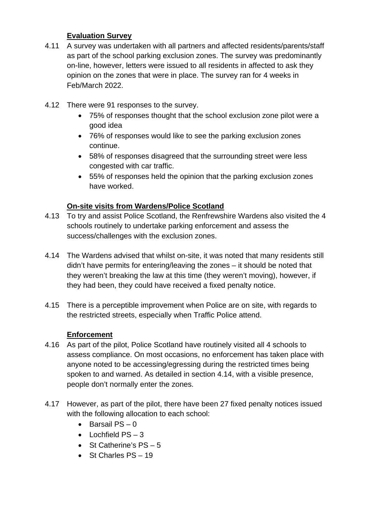#### **Evaluation Survey**

- 4.11 A survey was undertaken with all partners and affected residents/parents/staff as part of the school parking exclusion zones. The survey was predominantly on-line, however, letters were issued to all residents in affected to ask they opinion on the zones that were in place. The survey ran for 4 weeks in Feb/March 2022.
- 4.12 There were 91 responses to the survey.
	- 75% of responses thought that the school exclusion zone pilot were a good idea
	- 76% of responses would like to see the parking exclusion zones continue.
	- 58% of responses disagreed that the surrounding street were less congested with car traffic.
	- 55% of responses held the opinion that the parking exclusion zones have worked.

### **On-site visits from Wardens/Police Scotland**

- 4.13 To try and assist Police Scotland, the Renfrewshire Wardens also visited the 4 schools routinely to undertake parking enforcement and assess the success/challenges with the exclusion zones.
- 4.14 The Wardens advised that whilst on-site, it was noted that many residents still didn't have permits for entering/leaving the zones – it should be noted that they weren't breaking the law at this time (they weren't moving), however, if they had been, they could have received a fixed penalty notice.
- 4.15 There is a perceptible improvement when Police are on site, with regards to the restricted streets, especially when Traffic Police attend.

#### **Enforcement**

- 4.16 As part of the pilot, Police Scotland have routinely visited all 4 schools to assess compliance. On most occasions, no enforcement has taken place with anyone noted to be accessing/egressing during the restricted times being spoken to and warned. As detailed in section 4.14, with a visible presence, people don't normally enter the zones.
- 4.17 However, as part of the pilot, there have been 27 fixed penalty notices issued with the following allocation to each school:
	- Barsail PS 0
	- $\bullet$  Lochfield PS  $-3$
	- St Catherine's  $PS-5$
	- St Charles PS 19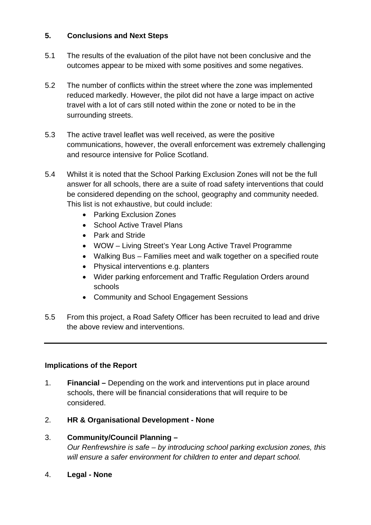### **5. Conclusions and Next Steps**

- 5.1 The results of the evaluation of the pilot have not been conclusive and the outcomes appear to be mixed with some positives and some negatives.
- 5.2 The number of conflicts within the street where the zone was implemented reduced markedly. However, the pilot did not have a large impact on active travel with a lot of cars still noted within the zone or noted to be in the surrounding streets.
- 5.3 The active travel leaflet was well received, as were the positive communications, however, the overall enforcement was extremely challenging and resource intensive for Police Scotland.
- 5.4 Whilst it is noted that the School Parking Exclusion Zones will not be the full answer for all schools, there are a suite of road safety interventions that could be considered depending on the school, geography and community needed. This list is not exhaustive, but could include:
	- Parking Exclusion Zones
	- School Active Travel Plans
	- Park and Stride
	- WOW Living Street's Year Long Active Travel Programme
	- Walking Bus Families meet and walk together on a specified route
	- Physical interventions e.g. planters
	- Wider parking enforcement and Traffic Regulation Orders around schools
	- Community and School Engagement Sessions
- 5.5 From this project, a Road Safety Officer has been recruited to lead and drive the above review and interventions.

### **Implications of the Report**

- 1. **Financial –** Depending on the work and interventions put in place around schools, there will be financial considerations that will require to be considered.
- 2. **HR & Organisational Development - None**
- 3. **Community/Council Planning –** *Our Renfrewshire is safe – by introducing school parking exclusion zones, this will ensure a safer environment for children to enter and depart school.*
- 4. **Legal - None**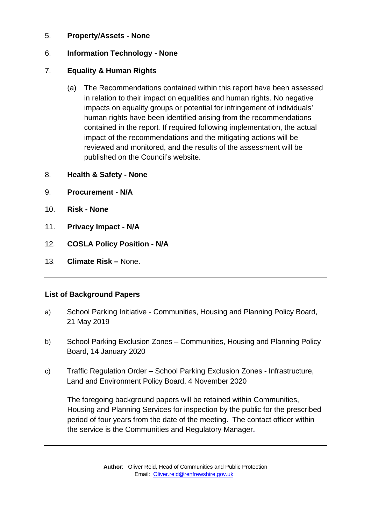#### 5. **Property/Assets - None**

### 6. **Information Technology - None**

## 7. **Equality & Human Rights**

- (a) The Recommendations contained within this report have been assessed in relation to their impact on equalities and human rights. No negative impacts on equality groups or potential for infringement of individuals' human rights have been identified arising from the recommendations contained in the report. If required following implementation, the actual impact of the recommendations and the mitigating actions will be reviewed and monitored, and the results of the assessment will be published on the Council's website.
- 8. **Health & Safety - None**
- 9. **Procurement - N/A**
- 10. **Risk - None**
- 11. **Privacy Impact - N/A**
- 12*.* **COSLA Policy Position - N/A**
- 13*.* **Climate Risk –** None.

### **List of Background Papers**

- a) School Parking Initiative Communities, Housing and Planning Policy Board, 21 May 2019
- b) School Parking Exclusion Zones Communities, Housing and Planning Policy Board, 14 January 2020
- c) Traffic Regulation Order School Parking Exclusion Zones Infrastructure, Land and Environment Policy Board, 4 November 2020

The foregoing background papers will be retained within Communities, Housing and Planning Services for inspection by the public for the prescribed period of four years from the date of the meeting. The contact officer within the service is the Communities and Regulatory Manager**.**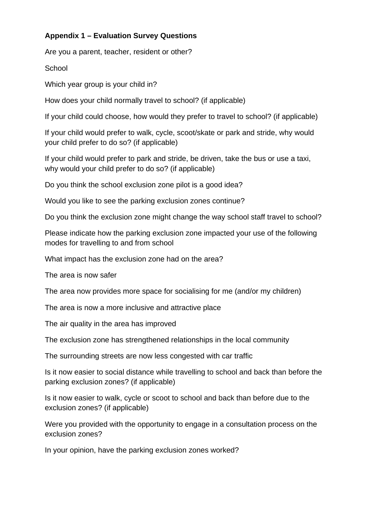## **Appendix 1 – Evaluation Survey Questions**

Are you a parent, teacher, resident or other?

**School** 

Which year group is your child in?

How does your child normally travel to school? (if applicable)

If your child could choose, how would they prefer to travel to school? (if applicable)

If your child would prefer to walk, cycle, scoot/skate or park and stride, why would your child prefer to do so? (if applicable)

If your child would prefer to park and stride, be driven, take the bus or use a taxi, why would your child prefer to do so? (if applicable)

Do you think the school exclusion zone pilot is a good idea?

Would you like to see the parking exclusion zones continue?

Do you think the exclusion zone might change the way school staff travel to school?

Please indicate how the parking exclusion zone impacted your use of the following modes for travelling to and from school

What impact has the exclusion zone had on the area?

The area is now safer

The area now provides more space for socialising for me (and/or my children)

The area is now a more inclusive and attractive place

The air quality in the area has improved

The exclusion zone has strengthened relationships in the local community

The surrounding streets are now less congested with car traffic

Is it now easier to social distance while travelling to school and back than before the parking exclusion zones? (if applicable)

Is it now easier to walk, cycle or scoot to school and back than before due to the exclusion zones? (if applicable)

Were you provided with the opportunity to engage in a consultation process on the exclusion zones?

In your opinion, have the parking exclusion zones worked?